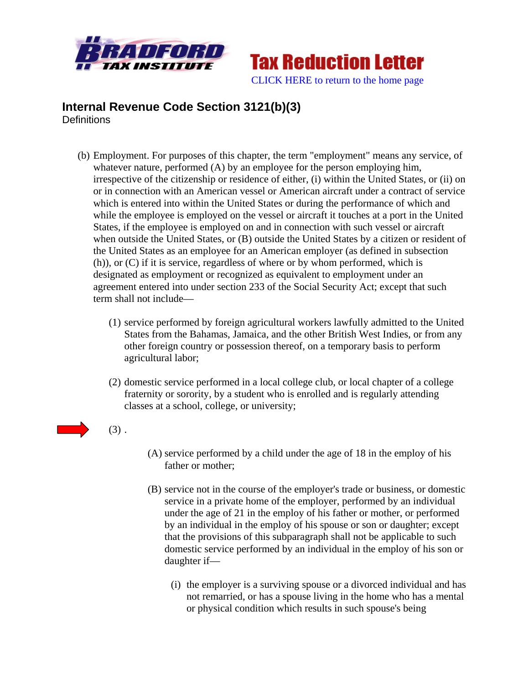



## **Internal Revenue Code Section 3121(b)(3) Definitions**

- (b) Employment. For purposes of this chapter, the term "employment" means any service, of whatever nature, performed (A) by an employee for the person employing him, irrespective of the citizenship or residence of either, (i) within the United States, or (ii) on or in connection with an American vessel or American aircraft under a contract of service which is entered into within the United States or during the performance of which and while the employee is employed on the vessel or aircraft it touches at a port in the United States, if the employee is employed on and in connection with such vessel or aircraft when outside the United States, or (B) outside the United States by a citizen or resident of the United States as an employee for an American employer (as defined in subsection (h)), or (C) if it is service, regardless of where or by whom performed, which is designated as employment or recognized as equivalent to employment under an agreement entered into under section 233 of the Social Security Act; except that such term shall not include—
	- (1) service performed by foreign agricultural workers lawfully admitted to the United States from the Bahamas, Jamaica, and the other British West Indies, or from any other foreign country or possession thereof, on a temporary basis to perform agricultural labor;
	- (2) domestic service performed in a local college club, or local chapter of a college fraternity or sorority, by a student who is enrolled and is regularly attending classes at a school, college, or university;
- 

 $(3)$ .

- (A) service performed by a child under the age of 18 in the employ of his father or mother;
- (B) service not in the course of the employer's trade or business, or domestic service in a private home of the employer, performed by an individual under the age of 21 in the employ of his father or mother, or performed by an individual in the employ of his spouse or son or daughter; except that the provisions of this subparagraph shall not be applicable to such domestic service performed by an individual in the employ of his son or daughter if—
	- (i) the employer is a surviving spouse or a divorced individual and has not remarried, or has a spouse living in the home who has a mental or physical condition which results in such spouse's being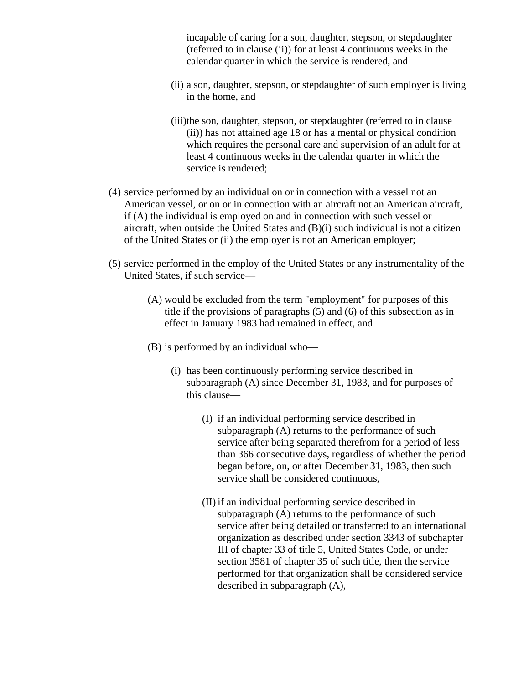incapable of caring for a son, daughter, stepson, or stepdaughter (referred to in clause (ii)) for at least 4 continuous weeks in the calendar quarter in which the service is rendered, and

- (ii) a son, daughter, stepson, or stepdaughter of such employer is living in the home, and
- (iii)the son, daughter, stepson, or stepdaughter (referred to in clause (ii)) has not attained age 18 or has a mental or physical condition which requires the personal care and supervision of an adult for at least 4 continuous weeks in the calendar quarter in which the service is rendered;
- (4) service performed by an individual on or in connection with a vessel not an American vessel, or on or in connection with an aircraft not an American aircraft, if (A) the individual is employed on and in connection with such vessel or aircraft, when outside the United States and (B)(i) such individual is not a citizen of the United States or (ii) the employer is not an American employer;
- (5) service performed in the employ of the United States or any instrumentality of the United States, if such service—
	- (A) would be excluded from the term "employment" for purposes of this title if the provisions of paragraphs (5) and (6) of this subsection as in effect in January 1983 had remained in effect, and
	- (B) is performed by an individual who—
		- (i) has been continuously performing service described in subparagraph (A) since December 31, 1983, and for purposes of this clause—
			- (I) if an individual performing service described in subparagraph (A) returns to the performance of such service after being separated therefrom for a period of less than 366 consecutive days, regardless of whether the period began before, on, or after December 31, 1983, then such service shall be considered continuous,
			- (II) if an individual performing service described in subparagraph (A) returns to the performance of such service after being detailed or transferred to an international organization as described under section 3343 of subchapter III of chapter 33 of title 5, United States Code, or under section 3581 of chapter 35 of such title, then the service performed for that organization shall be considered service described in subparagraph (A),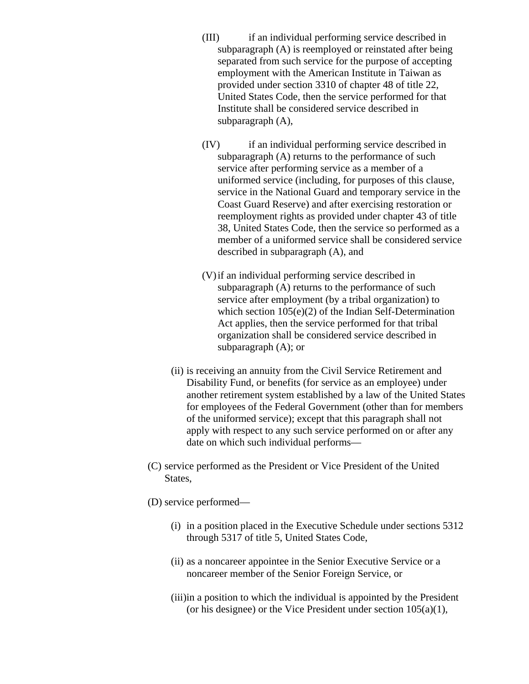- (III) if an individual performing service described in subparagraph (A) is reemployed or reinstated after being separated from such service for the purpose of accepting employment with the American Institute in Taiwan as provided under section 3310 of chapter 48 of title 22, United States Code, then the service performed for that Institute shall be considered service described in subparagraph (A),
- (IV) if an individual performing service described in subparagraph (A) returns to the performance of such service after performing service as a member of a uniformed service (including, for purposes of this clause, service in the National Guard and temporary service in the Coast Guard Reserve) and after exercising restoration or reemployment rights as provided under chapter 43 of title 38, United States Code, then the service so performed as a member of a uniformed service shall be considered service described in subparagraph (A), and
- (V)if an individual performing service described in subparagraph (A) returns to the performance of such service after employment (by a tribal organization) to which section  $105(e)(2)$  of the Indian Self-Determination Act applies, then the service performed for that tribal organization shall be considered service described in subparagraph (A); or
- (ii) is receiving an annuity from the Civil Service Retirement and Disability Fund, or benefits (for service as an employee) under another retirement system established by a law of the United States for employees of the Federal Government (other than for members of the uniformed service); except that this paragraph shall not apply with respect to any such service performed on or after any date on which such individual performs—
- (C) service performed as the President or Vice President of the United States,
- (D) service performed—
	- (i) in a position placed in the Executive Schedule under sections 5312 through 5317 of title 5, United States Code,
	- (ii) as a noncareer appointee in the Senior Executive Service or a noncareer member of the Senior Foreign Service, or
	- (iii)in a position to which the individual is appointed by the President (or his designee) or the Vice President under section 105(a)(1),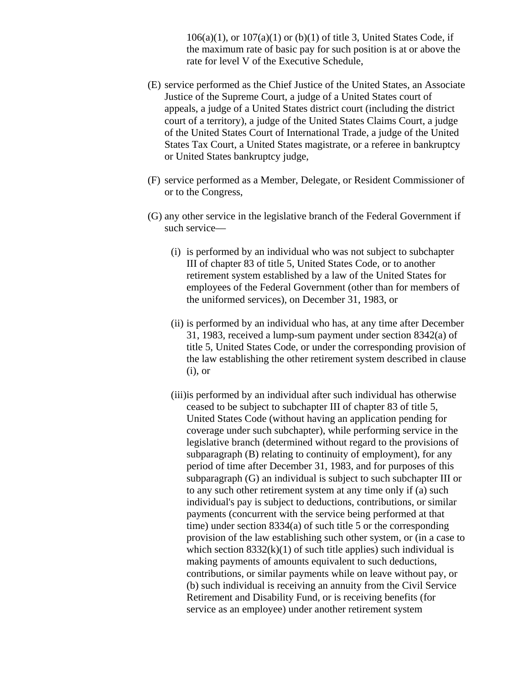$106(a)(1)$ , or  $107(a)(1)$  or  $(b)(1)$  of title 3, United States Code, if the maximum rate of basic pay for such position is at or above the rate for level V of the Executive Schedule,

- (E) service performed as the Chief Justice of the United States, an Associate Justice of the Supreme Court, a judge of a United States court of appeals, a judge of a United States district court (including the district court of a territory), a judge of the United States Claims Court, a judge of the United States Court of International Trade, a judge of the United States Tax Court, a United States magistrate, or a referee in bankruptcy or United States bankruptcy judge,
- (F) service performed as a Member, Delegate, or Resident Commissioner of or to the Congress,
- (G) any other service in the legislative branch of the Federal Government if such service—
	- (i) is performed by an individual who was not subject to subchapter III of chapter 83 of title 5, United States Code, or to another retirement system established by a law of the United States for employees of the Federal Government (other than for members of the uniformed services), on December 31, 1983, or
	- (ii) is performed by an individual who has, at any time after December 31, 1983, received a lump-sum payment under section 8342(a) of title 5, United States Code, or under the corresponding provision of the law establishing the other retirement system described in clause (i), or
	- (iii)is performed by an individual after such individual has otherwise ceased to be subject to subchapter III of chapter 83 of title 5, United States Code (without having an application pending for coverage under such subchapter), while performing service in the legislative branch (determined without regard to the provisions of subparagraph (B) relating to continuity of employment), for any period of time after December 31, 1983, and for purposes of this subparagraph (G) an individual is subject to such subchapter III or to any such other retirement system at any time only if (a) such individual's pay is subject to deductions, contributions, or similar payments (concurrent with the service being performed at that time) under section 8334(a) of such title 5 or the corresponding provision of the law establishing such other system, or (in a case to which section  $8332(k)(1)$  of such title applies) such individual is making payments of amounts equivalent to such deductions, contributions, or similar payments while on leave without pay, or (b) such individual is receiving an annuity from the Civil Service Retirement and Disability Fund, or is receiving benefits (for service as an employee) under another retirement system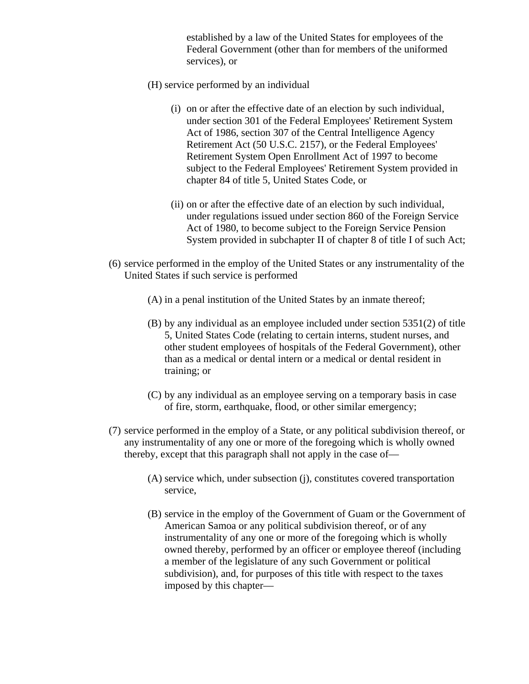established by a law of the United States for employees of the Federal Government (other than for members of the uniformed services), or

- (H) service performed by an individual
	- (i) on or after the effective date of an election by such individual, under section 301 of the Federal Employees' Retirement System Act of 1986, section 307 of the Central Intelligence Agency Retirement Act (50 U.S.C. 2157), or the Federal Employees' Retirement System Open Enrollment Act of 1997 to become subject to the Federal Employees' Retirement System provided in chapter 84 of title 5, United States Code, or
	- (ii) on or after the effective date of an election by such individual, under regulations issued under section 860 of the Foreign Service Act of 1980, to become subject to the Foreign Service Pension System provided in subchapter II of chapter 8 of title I of such Act;
- (6) service performed in the employ of the United States or any instrumentality of the United States if such service is performed
	- (A) in a penal institution of the United States by an inmate thereof;
	- (B) by any individual as an employee included under section 5351(2) of title 5, United States Code (relating to certain interns, student nurses, and other student employees of hospitals of the Federal Government), other than as a medical or dental intern or a medical or dental resident in training; or
	- (C) by any individual as an employee serving on a temporary basis in case of fire, storm, earthquake, flood, or other similar emergency;
- (7) service performed in the employ of a State, or any political subdivision thereof, or any instrumentality of any one or more of the foregoing which is wholly owned thereby, except that this paragraph shall not apply in the case of—
	- (A) service which, under subsection (j), constitutes covered transportation service,
	- (B) service in the employ of the Government of Guam or the Government of American Samoa or any political subdivision thereof, or of any instrumentality of any one or more of the foregoing which is wholly owned thereby, performed by an officer or employee thereof (including a member of the legislature of any such Government or political subdivision), and, for purposes of this title with respect to the taxes imposed by this chapter—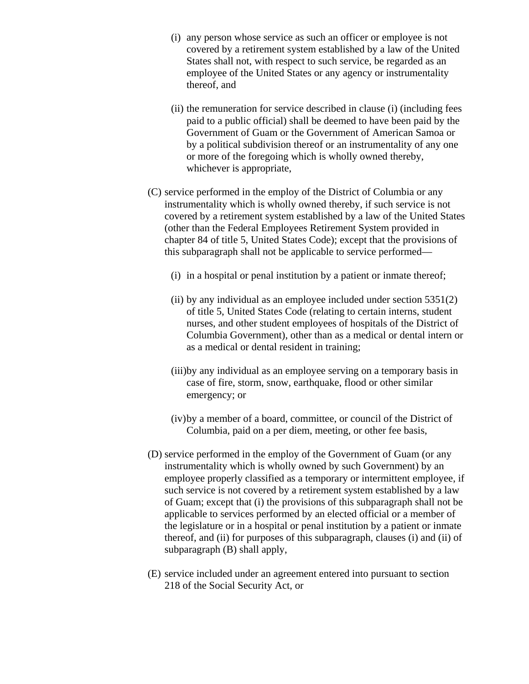- (i) any person whose service as such an officer or employee is not covered by a retirement system established by a law of the United States shall not, with respect to such service, be regarded as an employee of the United States or any agency or instrumentality thereof, and
- (ii) the remuneration for service described in clause (i) (including fees paid to a public official) shall be deemed to have been paid by the Government of Guam or the Government of American Samoa or by a political subdivision thereof or an instrumentality of any one or more of the foregoing which is wholly owned thereby, whichever is appropriate,
- (C) service performed in the employ of the District of Columbia or any instrumentality which is wholly owned thereby, if such service is not covered by a retirement system established by a law of the United States (other than the Federal Employees Retirement System provided in chapter 84 of title 5, United States Code); except that the provisions of this subparagraph shall not be applicable to service performed—
	- (i) in a hospital or penal institution by a patient or inmate thereof;
	- (ii) by any individual as an employee included under section  $5351(2)$ of title 5, United States Code (relating to certain interns, student nurses, and other student employees of hospitals of the District of Columbia Government), other than as a medical or dental intern or as a medical or dental resident in training;
	- (iii)by any individual as an employee serving on a temporary basis in case of fire, storm, snow, earthquake, flood or other similar emergency; or
	- (iv)by a member of a board, committee, or council of the District of Columbia, paid on a per diem, meeting, or other fee basis,
- (D) service performed in the employ of the Government of Guam (or any instrumentality which is wholly owned by such Government) by an employee properly classified as a temporary or intermittent employee, if such service is not covered by a retirement system established by a law of Guam; except that (i) the provisions of this subparagraph shall not be applicable to services performed by an elected official or a member of the legislature or in a hospital or penal institution by a patient or inmate thereof, and (ii) for purposes of this subparagraph, clauses (i) and (ii) of subparagraph (B) shall apply,
- (E) service included under an agreement entered into pursuant to section 218 of the Social Security Act, or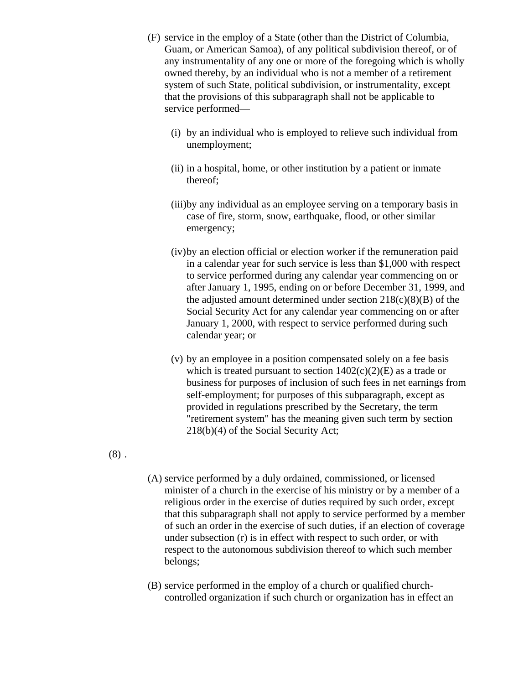- (F) service in the employ of a State (other than the District of Columbia, Guam, or American Samoa), of any political subdivision thereof, or of any instrumentality of any one or more of the foregoing which is wholly owned thereby, by an individual who is not a member of a retirement system of such State, political subdivision, or instrumentality, except that the provisions of this subparagraph shall not be applicable to service performed—
	- (i) by an individual who is employed to relieve such individual from unemployment;
	- (ii) in a hospital, home, or other institution by a patient or inmate thereof;
	- (iii)by any individual as an employee serving on a temporary basis in case of fire, storm, snow, earthquake, flood, or other similar emergency;
	- (iv)by an election official or election worker if the remuneration paid in a calendar year for such service is less than \$1,000 with respect to service performed during any calendar year commencing on or after January 1, 1995, ending on or before December 31, 1999, and the adjusted amount determined under section  $218(c)(8)(B)$  of the Social Security Act for any calendar year commencing on or after January 1, 2000, with respect to service performed during such calendar year; or
	- (v) by an employee in a position compensated solely on a fee basis which is treated pursuant to section  $1402(c)(2)(E)$  as a trade or business for purposes of inclusion of such fees in net earnings from self-employment; for purposes of this subparagraph, except as provided in regulations prescribed by the Secretary, the term "retirement system" has the meaning given such term by section 218(b)(4) of the Social Security Act;

 $(8)$ .

- (A) service performed by a duly ordained, commissioned, or licensed minister of a church in the exercise of his ministry or by a member of a religious order in the exercise of duties required by such order, except that this subparagraph shall not apply to service performed by a member of such an order in the exercise of such duties, if an election of coverage under subsection (r) is in effect with respect to such order, or with respect to the autonomous subdivision thereof to which such member belongs;
- (B) service performed in the employ of a church or qualified churchcontrolled organization if such church or organization has in effect an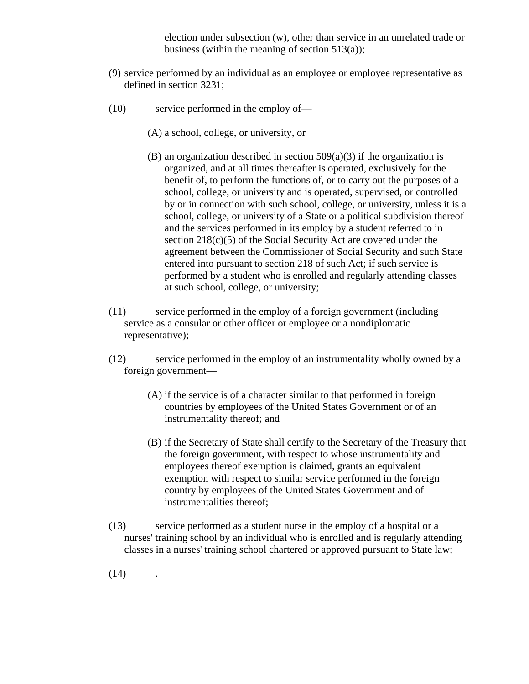election under subsection (w), other than service in an unrelated trade or business (within the meaning of section 513(a));

- (9) service performed by an individual as an employee or employee representative as defined in section 3231;
- (10) service performed in the employ of—
	- (A) a school, college, or university, or
	- (B) an organization described in section  $509(a)(3)$  if the organization is organized, and at all times thereafter is operated, exclusively for the benefit of, to perform the functions of, or to carry out the purposes of a school, college, or university and is operated, supervised, or controlled by or in connection with such school, college, or university, unless it is a school, college, or university of a State or a political subdivision thereof and the services performed in its employ by a student referred to in section 218(c)(5) of the Social Security Act are covered under the agreement between the Commissioner of Social Security and such State entered into pursuant to section 218 of such Act; if such service is performed by a student who is enrolled and regularly attending classes at such school, college, or university;
- (11) service performed in the employ of a foreign government (including service as a consular or other officer or employee or a nondiplomatic representative);
- (12) service performed in the employ of an instrumentality wholly owned by a foreign government—
	- (A) if the service is of a character similar to that performed in foreign countries by employees of the United States Government or of an instrumentality thereof; and
	- (B) if the Secretary of State shall certify to the Secretary of the Treasury that the foreign government, with respect to whose instrumentality and employees thereof exemption is claimed, grants an equivalent exemption with respect to similar service performed in the foreign country by employees of the United States Government and of instrumentalities thereof;
- (13) service performed as a student nurse in the employ of a hospital or a nurses' training school by an individual who is enrolled and is regularly attending classes in a nurses' training school chartered or approved pursuant to State law;
- $(14)$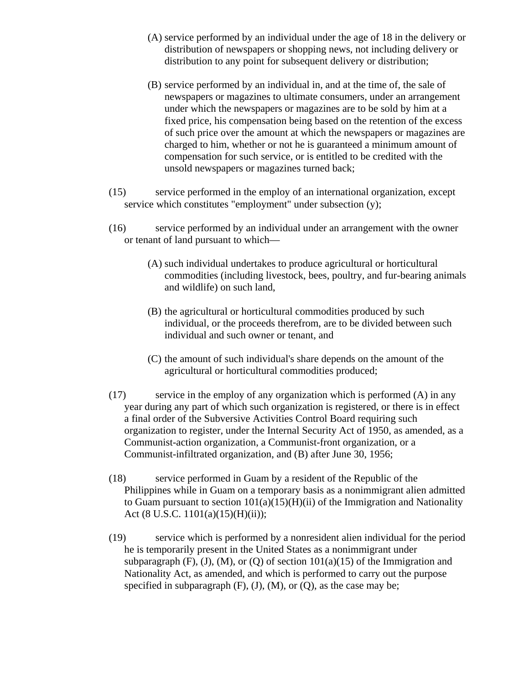- (A) service performed by an individual under the age of 18 in the delivery or distribution of newspapers or shopping news, not including delivery or distribution to any point for subsequent delivery or distribution;
- (B) service performed by an individual in, and at the time of, the sale of newspapers or magazines to ultimate consumers, under an arrangement under which the newspapers or magazines are to be sold by him at a fixed price, his compensation being based on the retention of the excess of such price over the amount at which the newspapers or magazines are charged to him, whether or not he is guaranteed a minimum amount of compensation for such service, or is entitled to be credited with the unsold newspapers or magazines turned back;
- (15) service performed in the employ of an international organization, except service which constitutes "employment" under subsection (y);
- (16) service performed by an individual under an arrangement with the owner or tenant of land pursuant to which—
	- (A) such individual undertakes to produce agricultural or horticultural commodities (including livestock, bees, poultry, and fur-bearing animals and wildlife) on such land,
	- (B) the agricultural or horticultural commodities produced by such individual, or the proceeds therefrom, are to be divided between such individual and such owner or tenant, and
	- (C) the amount of such individual's share depends on the amount of the agricultural or horticultural commodities produced;
- (17) service in the employ of any organization which is performed (A) in any year during any part of which such organization is registered, or there is in effect a final order of the Subversive Activities Control Board requiring such organization to register, under the Internal Security Act of 1950, as amended, as a Communist-action organization, a Communist-front organization, or a Communist-infiltrated organization, and (B) after June 30, 1956;
- (18) service performed in Guam by a resident of the Republic of the Philippines while in Guam on a temporary basis as a nonimmigrant alien admitted to Guam pursuant to section  $101(a)(15)(H)(ii)$  of the Immigration and Nationality Act (8 U.S.C. 1101(a)(15)(H)(ii));
- (19) service which is performed by a nonresident alien individual for the period he is temporarily present in the United States as a nonimmigrant under subparagraph  $(F)$ ,  $(J)$ ,  $(M)$ , or  $(Q)$  of section  $101(a)(15)$  of the Immigration and Nationality Act, as amended, and which is performed to carry out the purpose specified in subparagraph  $(F)$ ,  $(J)$ ,  $(M)$ , or  $(Q)$ , as the case may be;